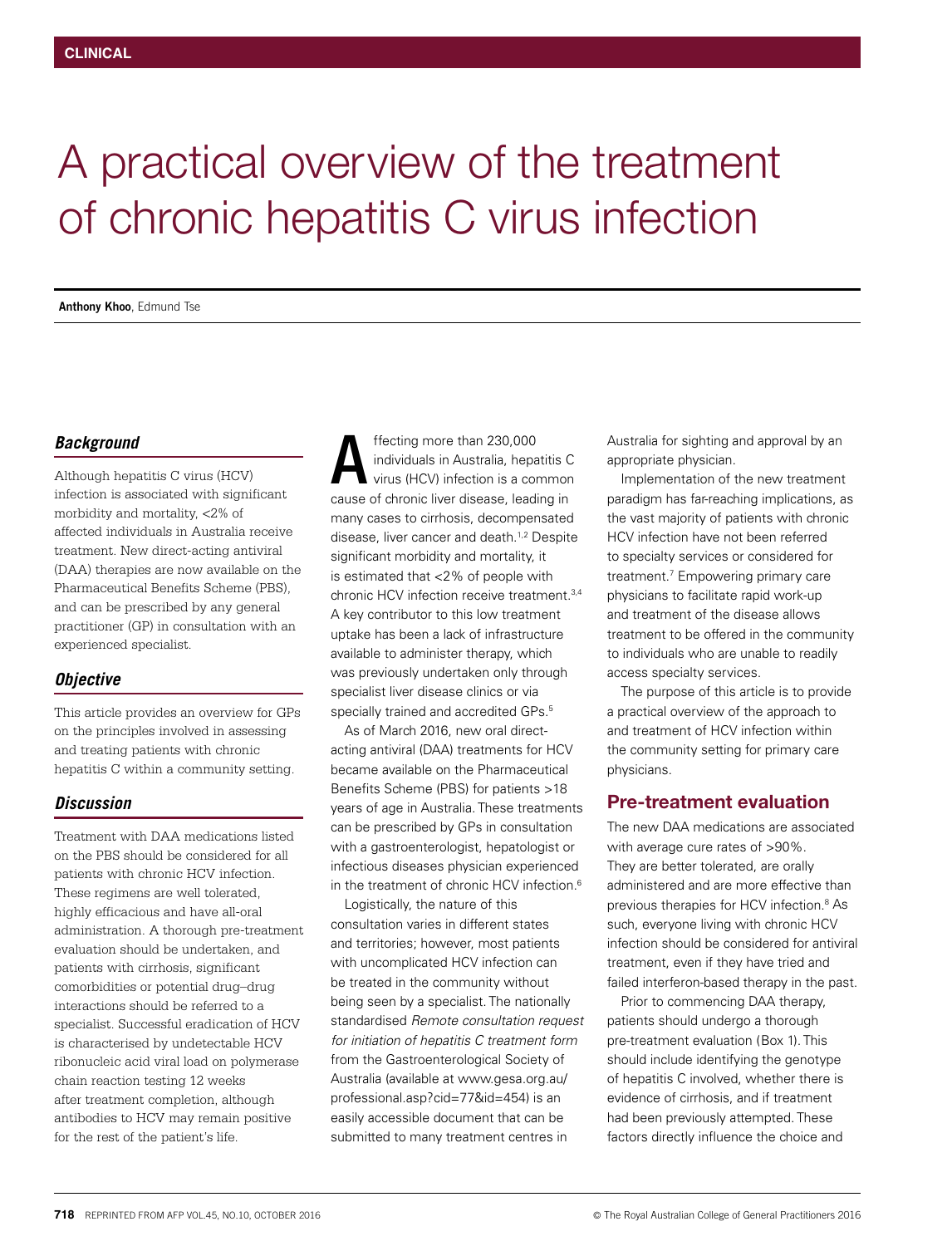# A practical overview of the treatment of chronic hepatitis C virus infection

**Anthony Khoo**, Edmund Tse

## *Background*

Although hepatitis C virus (HCV) infection is associated with significant morbidity and mortality, <2% of affected individuals in Australia receive treatment. New direct-acting antiviral (DAA) therapies are now available on the Pharmaceutical Benefits Scheme (PBS), and can be prescribed by any general practitioner (GP) in consultation with an experienced specialist.

## *Objective*

This article provides an overview for GPs on the principles involved in assessing and treating patients with chronic hepatitis C within a community setting.

## *Discussion*

Treatment with DAA medications listed on the PBS should be considered for all patients with chronic HCV infection. These regimens are well tolerated, highly efficacious and have all-oral administration. A thorough pre-treatment evaluation should be undertaken, and patients with cirrhosis, significant comorbidities or potential drug–drug interactions should be referred to a specialist. Successful eradication of HCV is characterised by undetectable HCV ribonucleic acid viral load on polymerase chain reaction testing 12 weeks after treatment completion, although antibodies to HCV may remain positive for the rest of the patient's life.

ffecting more than 230,000 individuals in Australia, hepatitis C virus (HCV) infection is a common ffecting more than 230,000<br>individuals in Australia, hepatitis C<br>virus (HCV) infection is a commor<br>cause of chronic liver disease, leading in many cases to cirrhosis, decompensated disease, liver cancer and death.<sup>1,2</sup> Despite significant morbidity and mortality, it is estimated that <2% of people with chronic HCV infection receive treatment 3,4 A key contributor to this low treatment uptake has been a lack of infrastructure available to administer therapy, which was previously undertaken only through specialist liver disease clinics or via specially trained and accredited GPs.<sup>5</sup>

As of March 2016, new oral directacting antiviral (DAA) treatments for HCV became available on the Pharmaceutical Benefits Scheme (PBS) for patients >18 years of age in Australia. These treatments can be prescribed by GPs in consultation with a gastroenterologist, hepatologist or infectious diseases physician experienced in the treatment of chronic HCV infection.<sup>6</sup>

Logistically, the nature of this consultation varies in different states and territories; however, most patients with uncomplicated HCV infection can be treated in the community without being seen by a specialist. The nationally standardised *Remote consultation request for initiation of hepatitis C treatment form* from the Gastroenterological Society of Australia (available at www.gesa.org.au/ professional.asp?cid=77&id=454) is an easily accessible document that can be submitted to many treatment centres in

Australia for sighting and approval by an appropriate physician.

Implementation of the new treatment paradigm has far-reaching implications, as the vast majority of patients with chronic HCV infection have not been referred to specialty services or considered for treatment.7 Empowering primary care physicians to facilitate rapid work-up and treatment of the disease allows treatment to be offered in the community to individuals who are unable to readily access specialty services.

The purpose of this article is to provide a practical overview of the approach to and treatment of HCV infection within the community setting for primary care physicians.

# Pre-treatment evaluation

The new DAA medications are associated with average cure rates of >90%. They are better tolerated, are orally administered and are more effective than previous therapies for HCV infection.<sup>8</sup> As such, everyone living with chronic HCV infection should be considered for antiviral treatment, even if they have tried and failed interferon-based therapy in the past.

Prior to commencing DAA therapy, patients should undergo a thorough pre-treatment evaluation (Box 1). This should include identifying the genotype of hepatitis C involved, whether there is evidence of cirrhosis, and if treatment had been previously attempted. These factors directly influence the choice and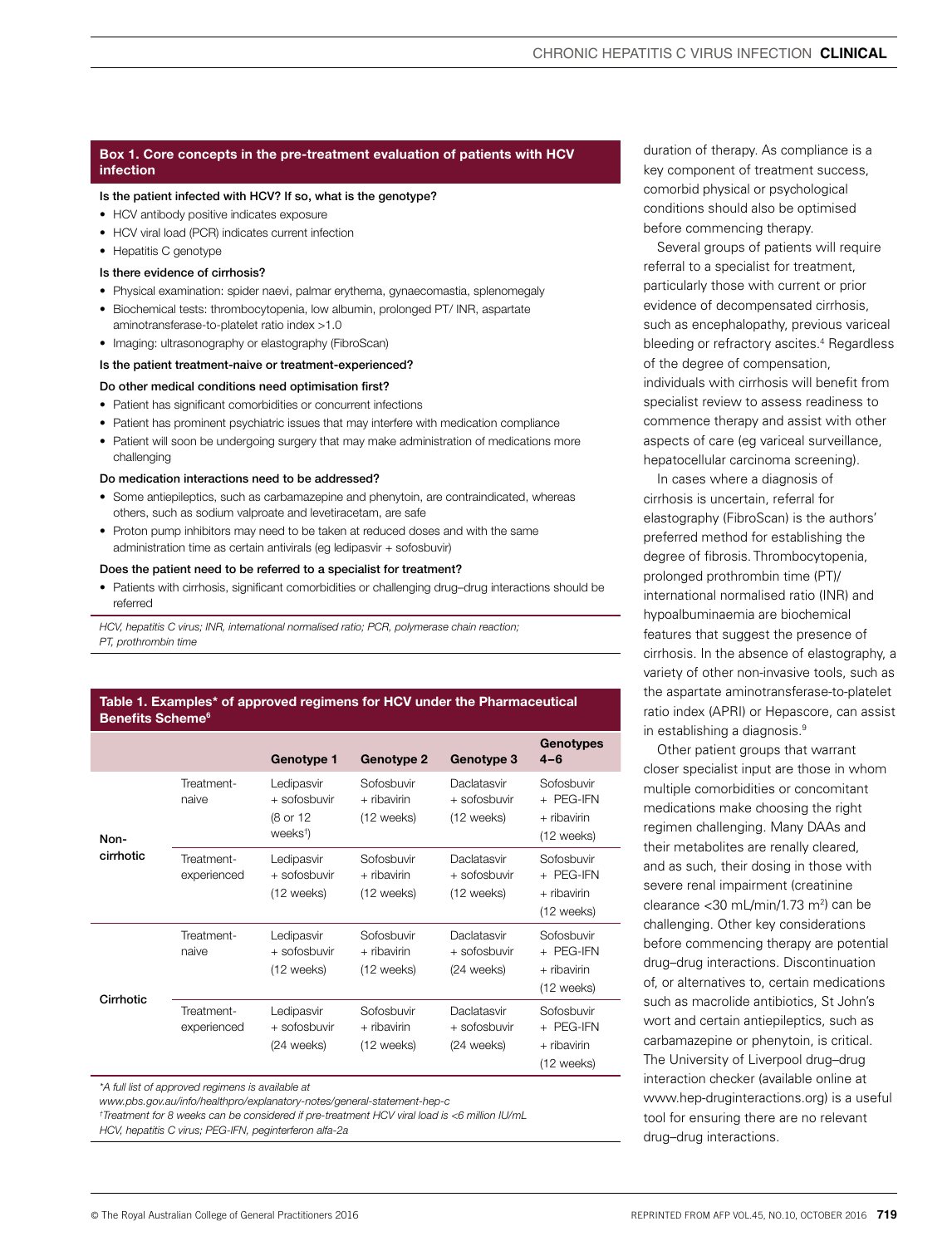### Box 1. Core concepts in the pre-treatment evaluation of patients with HCV infection

#### Is the patient infected with HCV? If so, what is the genotype?

- HCV antibody positive indicates exposure
- HCV viral load (PCR) indicates current infection
- Hepatitis C genotype

#### Is there evidence of cirrhosis?

- Physical examination: spider naevi, palmar erythema, gynaecomastia, splenomegaly
- Biochemical tests: thrombocytopenia, low albumin, prolonged PT/ INR, aspartate aminotransferase-to-platelet ratio index >1.0
- Imaging: ultrasonography or elastography (FibroScan)

#### Is the patient treatment-naive or treatment-experienced?

#### Do other medical conditions need optimisation first?

- Patient has significant comorbidities or concurrent infections
- Patient has prominent psychiatric issues that may interfere with medication compliance
- Patient will soon be undergoing surgery that may make administration of medications more challenging

#### Do medication interactions need to be addressed?

- Some antiepileptics, such as carbamazepine and phenytoin, are contraindicated, whereas others, such as sodium valproate and levetiracetam, are safe
- Proton pump inhibitors may need to be taken at reduced doses and with the same administration time as certain antivirals (eg ledipasvir + sofosbuvir)

#### Does the patient need to be referred to a specialist for treatment?

• Patients with cirrhosis, significant comorbidities or challenging drug–drug interactions should be referred

*HCV, hepatitis C virus; INR, international normalised ratio; PCR, polymerase chain reaction; PT, prothrombin time*

#### Table 1. Examples\* of approved regimens for HCV under the Pharmaceutical Benefits Scheme<sup>6</sup>

|                   |                           | Genotype 1                                                     | <b>Genotype 2</b>                       | Genotype 3                                  | <b>Genotypes</b><br>$4 - 6$                          |
|-------------------|---------------------------|----------------------------------------------------------------|-----------------------------------------|---------------------------------------------|------------------------------------------------------|
| Non-<br>cirrhotic | Treatment-<br>naive       | Ledipasvir<br>+ sofosbuvir<br>(8 or 12<br>weeks <sup>†</sup> ) | Sofosbuvir<br>+ ribavirin<br>(12 weeks) | Daclatasvir<br>+ sofosbuvir<br>(12 weeks)   | Sofosbuvir<br>+ PEG-IFN<br>+ ribavirin<br>(12 weeks) |
|                   | Treatment-<br>experienced | Ledipasvir<br>+ sofosbuvir<br>(12 weeks)                       | Sofosbuvir<br>+ ribavirin<br>(12 weeks) | Daclatasvir<br>+ sofosbuvir<br>(12 weeks)   | Sofosbuvir<br>+ PEG-IFN<br>+ ribavirin<br>(12 weeks) |
| Cirrhotic         | Treatment-<br>naive       | Ledipasvir<br>$+$ sofosbuvir<br>(12 weeks)                     | Sofosbuvir<br>+ ribavirin<br>(12 weeks) | Daclatasvir<br>$+$ sofosbuvir<br>(24 weeks) | Sofosbuvir<br>+ PEG-IFN<br>+ ribavirin<br>(12 weeks) |
|                   | Treatment-<br>experienced | Ledipasvir<br>+ sofosbuvir<br>(24 weeks)                       | Sofosbuvir<br>+ ribavirin<br>(12 weeks) | Daclatasvir<br>+ sofosbuvir<br>(24 weeks)   | Sofosbuvir<br>+ PEG-IFN<br>+ ribavirin<br>(12 weeks) |

*<sup>\*</sup>A full list of approved regimens is available at* 

*www.pbs.gov.au/info/healthpro/explanatory-notes/general-statement-hep-c*

*† Treatment for 8 weeks can be considered if pre-treatment HCV viral load is <6 million IU/mL* 

*HCV, hepatitis C virus; PEG-IFN, peginterferon alfa-2a*

Several groups of patients will require referral to a specialist for treatment, particularly those with current or prior evidence of decompensated cirrhosis, such as encephalopathy, previous variceal bleeding or refractory ascites.<sup>4</sup> Regardless of the degree of compensation, individuals with cirrhosis will benefit from specialist review to assess readiness to commence therapy and assist with other aspects of care (eg variceal surveillance, hepatocellular carcinoma screening).

In cases where a diagnosis of cirrhosis is uncertain, referral for elastography (FibroScan) is the authors' preferred method for establishing the degree of fibrosis. Thrombocytopenia, prolonged prothrombin time (PT)/ international normalised ratio (INR) and hypoalbuminaemia are biochemical features that suggest the presence of cirrhosis. In the absence of elastography, a variety of other non-invasive tools, such as the aspartate aminotransferase-to-platelet ratio index (APRI) or Hepascore, can assist in establishing a diagnosis.9

Other patient groups that warrant closer specialist input are those in whom multiple comorbidities or concomitant medications make choosing the right regimen challenging. Many DAAs and their metabolites are renally cleared, and as such, their dosing in those with severe renal impairment (creatinine clearance  $<$ 30 mL/min/1.73 m<sup>2</sup>) can be challenging. Other key considerations before commencing therapy are potential drug–drug interactions. Discontinuation of, or alternatives to, certain medications such as macrolide antibiotics, St John's wort and certain antiepileptics, such as carbamazepine or phenytoin, is critical. The University of Liverpool drug–drug interaction checker (available online at www.hep-druginteractions.org) is a useful tool for ensuring there are no relevant drug–drug interactions.